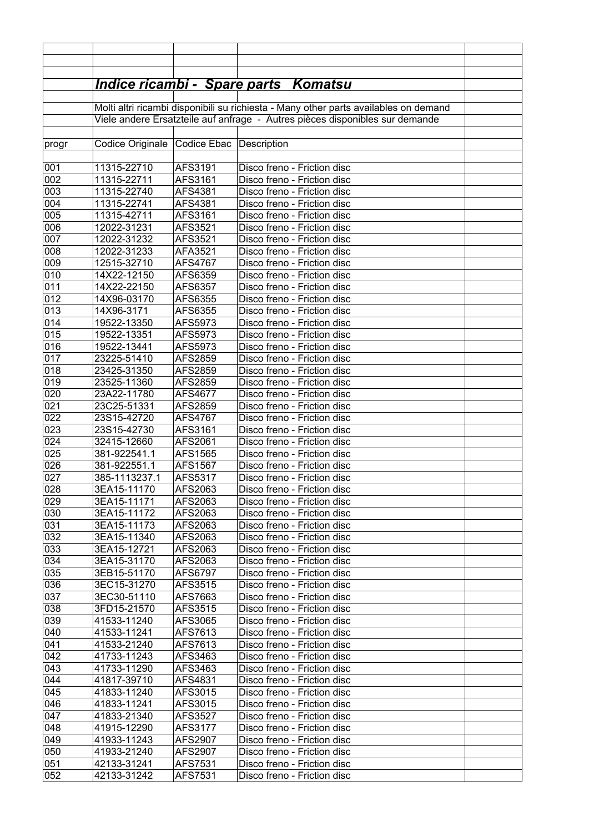|            |                                                                              |                         | <u> Indice ricambi - Spare parts Komatsu</u>                                         |  |  |  |
|------------|------------------------------------------------------------------------------|-------------------------|--------------------------------------------------------------------------------------|--|--|--|
|            |                                                                              |                         |                                                                                      |  |  |  |
|            |                                                                              |                         | Molti altri ricambi disponibili su richiesta - Many other parts availables on demand |  |  |  |
|            | Viele andere Ersatzteile auf anfrage - Autres pièces disponibles sur demande |                         |                                                                                      |  |  |  |
| progr      | Codice Originale                                                             | Codice Ebac Description |                                                                                      |  |  |  |
|            |                                                                              |                         |                                                                                      |  |  |  |
| 001        | 11315-22710                                                                  | AFS3191                 | Disco freno - Friction disc                                                          |  |  |  |
| 002        | 11315-22711                                                                  | AFS3161                 | Disco freno - Friction disc                                                          |  |  |  |
| 003        | 11315-22740                                                                  | AFS4381                 | Disco freno - Friction disc                                                          |  |  |  |
| 004<br>005 | 11315-22741                                                                  | AFS4381                 | Disco freno - Friction disc<br>Disco freno - Friction disc                           |  |  |  |
| 006        | 11315-42711<br>12022-31231                                                   | AFS3161<br>AFS3521      | Disco freno - Friction disc                                                          |  |  |  |
| 007        | 12022-31232                                                                  | AFS3521                 | Disco freno - Friction disc                                                          |  |  |  |
| 008        | 12022-31233                                                                  | AFA3521                 | Disco freno - Friction disc                                                          |  |  |  |
| 009        | 12515-32710                                                                  | AFS4767                 | Disco freno - Friction disc                                                          |  |  |  |
| 010        | 14X22-12150                                                                  | AFS6359                 | Disco freno - Friction disc                                                          |  |  |  |
| 011        | 14X22-22150                                                                  | AFS6357                 | Disco freno - Friction disc                                                          |  |  |  |
| 012        | 14X96-03170                                                                  | AFS6355                 | Disco freno - Friction disc                                                          |  |  |  |
| 013        | 14X96-3171                                                                   | AFS6355                 | Disco freno - Friction disc                                                          |  |  |  |
| 014        | 19522-13350                                                                  | AFS5973                 | Disco freno - Friction disc                                                          |  |  |  |
| 015        | 19522-13351                                                                  | AFS5973                 | Disco freno - Friction disc                                                          |  |  |  |
| 016<br>017 | 19522-13441                                                                  | AFS5973                 | Disco freno - Friction disc<br>Disco freno - Friction disc                           |  |  |  |
| 018        | 23225-51410<br>23425-31350                                                   | AFS2859<br>AFS2859      | Disco freno - Friction disc                                                          |  |  |  |
| 019        | 23525-11360                                                                  | AFS2859                 | Disco freno - Friction disc                                                          |  |  |  |
| 020        | 23A22-11780                                                                  | AFS4677                 | Disco freno - Friction disc                                                          |  |  |  |
| 021        | 23C25-51331                                                                  | AFS2859                 | Disco freno - Friction disc                                                          |  |  |  |
| 022        | 23S15-42720                                                                  | AFS4767                 | Disco freno - Friction disc                                                          |  |  |  |
| 023        | 23S15-42730                                                                  | AFS3161                 | Disco freno - Friction disc                                                          |  |  |  |
| 024        | 32415-12660                                                                  | AFS2061                 | Disco freno - Friction disc                                                          |  |  |  |
| 025        | 381-922541.1                                                                 | AFS1565                 | Disco freno - Friction disc                                                          |  |  |  |
| 026        | 381-922551.1                                                                 | AFS1567                 | Disco freno - Friction disc                                                          |  |  |  |
| 027        | 385-1113237.1                                                                | AFS5317                 | Disco freno - Friction disc                                                          |  |  |  |
| 028        | 3EA15-11170                                                                  | AFS2063                 | Disco freno - Friction disc                                                          |  |  |  |
| 029<br>030 | 3EA15-11171<br>3EA15-11172                                                   | AFS2063<br>AFS2063      | Disco freno - Friction disc<br>Disco freno - Friction disc                           |  |  |  |
| 031        | 3EA15-11173                                                                  | AFS2063                 | Disco freno - Friction disc                                                          |  |  |  |
| 032        | 3EA15-11340                                                                  | AFS2063                 | Disco freno - Friction disc                                                          |  |  |  |
| 033        | 3EA15-12721                                                                  | AFS2063                 | Disco freno - Friction disc                                                          |  |  |  |
| 034        | 3EA15-31170                                                                  | AFS2063                 | Disco freno - Friction disc                                                          |  |  |  |
| 035        | 3EB15-51170                                                                  | AFS6797                 | Disco freno - Friction disc                                                          |  |  |  |
| 036        | 3EC15-31270                                                                  | AFS3515                 | Disco freno - Friction disc                                                          |  |  |  |
| 037        | 3EC30-51110                                                                  | AFS7663                 | Disco freno - Friction disc                                                          |  |  |  |
| 038        | 3FD15-21570                                                                  | AFS3515                 | Disco freno - Friction disc                                                          |  |  |  |
| 039        | 41533-11240                                                                  | AFS3065                 | Disco freno - Friction disc                                                          |  |  |  |
| 040        | 41533-11241                                                                  | AFS7613                 | Disco freno - Friction disc                                                          |  |  |  |
| 041<br>042 | 41533-21240<br>41733-11243                                                   | AFS7613<br>AFS3463      | Disco freno - Friction disc<br>Disco freno - Friction disc                           |  |  |  |
| 043        | 41733-11290                                                                  | AFS3463                 | Disco freno - Friction disc                                                          |  |  |  |
| 044        | 41817-39710                                                                  | AFS4831                 | Disco freno - Friction disc                                                          |  |  |  |
| 045        | 41833-11240                                                                  | AFS3015                 | Disco freno - Friction disc                                                          |  |  |  |
| 046        | 41833-11241                                                                  | AFS3015                 | Disco freno - Friction disc                                                          |  |  |  |
| 047        | 41833-21340                                                                  | AFS3527                 | Disco freno - Friction disc                                                          |  |  |  |
| 048        | 41915-12290                                                                  | AFS3177                 | Disco freno - Friction disc                                                          |  |  |  |
| 049        | 41933-11243                                                                  | AFS2907                 | Disco freno - Friction disc                                                          |  |  |  |
| 050        | 41933-21240                                                                  | AFS2907                 | Disco freno - Friction disc                                                          |  |  |  |
| 051        | 42133-31241                                                                  | AFS7531                 | Disco freno - Friction disc                                                          |  |  |  |
| 052        | 42133-31242                                                                  | AFS7531                 | Disco freno - Friction disc                                                          |  |  |  |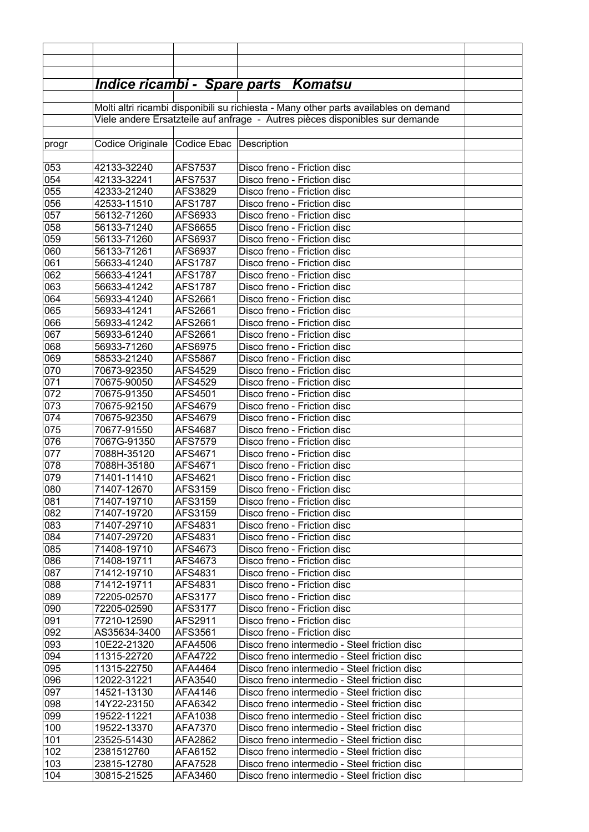|            |                                                                              |                           | <u> Indice ricambi - Spare parts Komatsu</u>                                         |  |  |  |
|------------|------------------------------------------------------------------------------|---------------------------|--------------------------------------------------------------------------------------|--|--|--|
|            |                                                                              |                           |                                                                                      |  |  |  |
|            |                                                                              |                           | Molti altri ricambi disponibili su richiesta - Many other parts availables on demand |  |  |  |
|            | Viele andere Ersatzteile auf anfrage - Autres pièces disponibles sur demande |                           |                                                                                      |  |  |  |
| progr      | Codice Originale Codice Ebac                                                 |                           | Description                                                                          |  |  |  |
|            |                                                                              |                           |                                                                                      |  |  |  |
| 053        | 42133-32240                                                                  | <b>AFS7537</b>            | Disco freno - Friction disc                                                          |  |  |  |
| 054        | 42133-32241                                                                  | <b>AFS7537</b>            | Disco freno - Friction disc                                                          |  |  |  |
| 055        | 42333-21240                                                                  | AFS3829                   | Disco freno - Friction disc                                                          |  |  |  |
| 056        | 42533-11510                                                                  | <b>AFS1787</b>            | Disco freno - Friction disc                                                          |  |  |  |
| 057        | 56132-71260                                                                  | AFS6933                   | Disco freno - Friction disc                                                          |  |  |  |
| 058<br>059 | 56133-71240<br>56133-71260                                                   | AFS6655<br>AFS6937        | Disco freno - Friction disc<br>Disco freno - Friction disc                           |  |  |  |
| 060        | 56133-71261                                                                  | AFS6937                   | Disco freno - Friction disc                                                          |  |  |  |
| 061        | 56633-41240                                                                  | <b>AFS1787</b>            | Disco freno - Friction disc                                                          |  |  |  |
| 062        | 56633-41241                                                                  | <b>AFS1787</b>            | Disco freno - Friction disc                                                          |  |  |  |
| 063        | 56633-41242                                                                  | <b>AFS1787</b>            | Disco freno - Friction disc                                                          |  |  |  |
| 064        | 56933-41240                                                                  | AFS2661                   | Disco freno - Friction disc                                                          |  |  |  |
| 065        | 56933-41241                                                                  | AFS2661                   | Disco freno - Friction disc                                                          |  |  |  |
| 066        | 56933-41242                                                                  | AFS2661                   | Disco freno - Friction disc                                                          |  |  |  |
| 067        | 56933-61240                                                                  | AFS2661                   | Disco freno - Friction disc                                                          |  |  |  |
| 068        | 56933-71260                                                                  | AFS6975                   | Disco freno - Friction disc                                                          |  |  |  |
| 069<br>070 | 58533-21240<br>70673-92350                                                   | AFS5867<br>AFS4529        | Disco freno - Friction disc<br>Disco freno - Friction disc                           |  |  |  |
| 071        | 70675-90050                                                                  | AFS4529                   | Disco freno - Friction disc                                                          |  |  |  |
| 072        | 70675-91350                                                                  | AFS4501                   | Disco freno - Friction disc                                                          |  |  |  |
| 073        | 70675-92150                                                                  | AFS4679                   | Disco freno - Friction disc                                                          |  |  |  |
| 074        | 70675-92350                                                                  | AFS4679                   | Disco freno - Friction disc                                                          |  |  |  |
| 075        | 70677-91550                                                                  | AFS4687                   | Disco freno - Friction disc                                                          |  |  |  |
| 076        | 7067G-91350                                                                  | <b>AFS7579</b>            | Disco freno - Friction disc                                                          |  |  |  |
| 077        | 7088H-35120                                                                  | AFS4671                   | Disco freno - Friction disc                                                          |  |  |  |
| 078        | 7088H-35180                                                                  | AFS4671                   | Disco freno - Friction disc                                                          |  |  |  |
| 079        | 71401-11410                                                                  | AFS4621                   | Disco freno - Friction disc                                                          |  |  |  |
| 080<br>081 | 71407-12670<br>71407-19710                                                   | <b>AFS3159</b><br>AFS3159 | Disco freno - Friction disc<br>Disco freno - Friction disc                           |  |  |  |
| 082        | 71407-19720                                                                  | AFS3159                   | Disco freno - Friction disc                                                          |  |  |  |
| 083        | 71407-29710                                                                  | AFS4831                   | Disco freno - Friction disc                                                          |  |  |  |
| 084        | 71407-29720                                                                  | AFS4831                   | Disco freno - Friction disc                                                          |  |  |  |
| 085        | 71408-19710                                                                  | AFS4673                   | Disco freno - Friction disc                                                          |  |  |  |
| 086        | 71408-19711                                                                  | AFS4673                   | Disco freno - Friction disc                                                          |  |  |  |
| 087        | 71412-19710                                                                  | AFS4831                   | Disco freno - Friction disc                                                          |  |  |  |
| 088        | 71412-19711                                                                  | AFS4831                   | Disco freno - Friction disc                                                          |  |  |  |
| 089        | 72205-02570                                                                  | AFS3177                   | Disco freno - Friction disc                                                          |  |  |  |
| 090        | 72205-02590                                                                  | AFS3177                   | Disco freno - Friction disc                                                          |  |  |  |
| 091        | 77210-12590                                                                  | AFS2911                   | Disco freno - Friction disc                                                          |  |  |  |
| 092<br>093 | AS35634-3400<br>10E22-21320                                                  | AFS3561<br>AFA4506        | Disco freno - Friction disc<br>Disco freno intermedio - Steel friction disc          |  |  |  |
| 094        | 11315-22720                                                                  | AFA4722                   | Disco freno intermedio - Steel friction disc                                         |  |  |  |
| 095        | 11315-22750                                                                  | AFA4464                   | Disco freno intermedio - Steel friction disc                                         |  |  |  |
| 096        | 12022-31221                                                                  | AFA3540                   | Disco freno intermedio - Steel friction disc                                         |  |  |  |
| 097        | 14521-13130                                                                  | AFA4146                   | Disco freno intermedio - Steel friction disc                                         |  |  |  |
| 098        | 14Y22-23150                                                                  | AFA6342                   | Disco freno intermedio - Steel friction disc                                         |  |  |  |
| 099        | 19522-11221                                                                  | AFA1038                   | Disco freno intermedio - Steel friction disc                                         |  |  |  |
| 100        | 19522-13370                                                                  | AFA7370                   | Disco freno intermedio - Steel friction disc                                         |  |  |  |
| 101        | 23525-51430                                                                  | AFA2862                   | Disco freno intermedio - Steel friction disc                                         |  |  |  |
| 102        | 2381512760                                                                   | AFA6152                   | Disco freno intermedio - Steel friction disc                                         |  |  |  |
| 103        | 23815-12780                                                                  | AFA7528                   | Disco freno intermedio - Steel friction disc                                         |  |  |  |
| 104        | 30815-21525                                                                  | AFA3460                   | Disco freno intermedio - Steel friction disc                                         |  |  |  |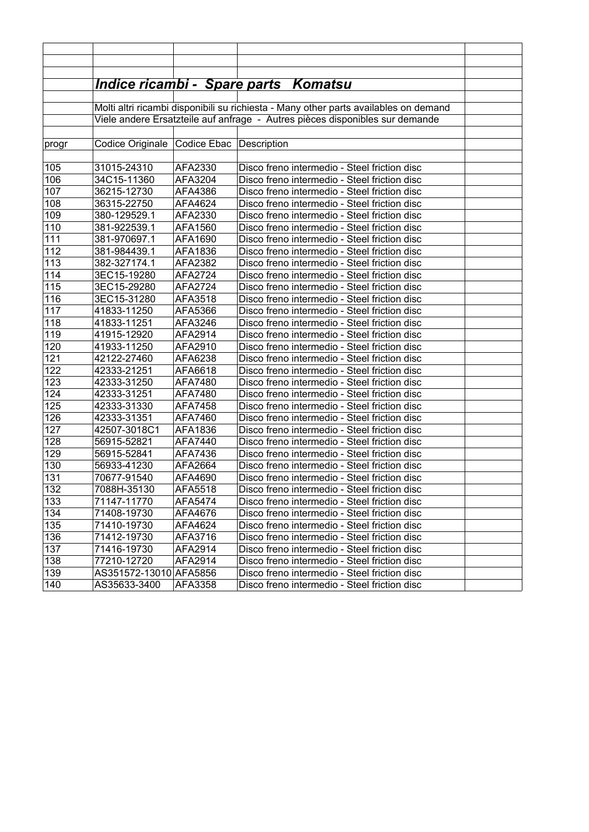|       |                                                                              |                           | <u> Indice ricambi - Spare parts Komatsu</u>                                         |  |  |  |
|-------|------------------------------------------------------------------------------|---------------------------|--------------------------------------------------------------------------------------|--|--|--|
|       |                                                                              |                           |                                                                                      |  |  |  |
|       |                                                                              |                           | Molti altri ricambi disponibili su richiesta - Many other parts availables on demand |  |  |  |
|       | Viele andere Ersatzteile auf anfrage - Autres pièces disponibles sur demande |                           |                                                                                      |  |  |  |
|       |                                                                              |                           |                                                                                      |  |  |  |
| progr | Codice Originale                                                             | Codice Ebac   Description |                                                                                      |  |  |  |
|       |                                                                              |                           |                                                                                      |  |  |  |
| 105   | 31015-24310                                                                  | AFA2330                   | Disco freno intermedio - Steel friction disc                                         |  |  |  |
| 106   | 34C15-11360                                                                  | AFA3204                   | Disco freno intermedio - Steel friction disc                                         |  |  |  |
| 107   | 36215-12730                                                                  | AFA4386                   | Disco freno intermedio - Steel friction disc                                         |  |  |  |
| 108   | 36315-22750                                                                  | AFA4624                   | Disco freno intermedio - Steel friction disc                                         |  |  |  |
| 109   | 380-129529.1                                                                 | AFA2330                   | Disco freno intermedio - Steel friction disc                                         |  |  |  |
| 110   | 381-922539.1                                                                 | AFA1560                   | Disco freno intermedio - Steel friction disc                                         |  |  |  |
| 111   | 381-970697.1                                                                 | AFA1690                   | Disco freno intermedio - Steel friction disc                                         |  |  |  |
| 112   | 381-984439.1                                                                 | AFA1836                   | Disco freno intermedio - Steel friction disc                                         |  |  |  |
| 113   | 382-327174.1                                                                 | AFA2382                   | Disco freno intermedio - Steel friction disc                                         |  |  |  |
| 114   | 3EC15-19280                                                                  | AFA2724                   | Disco freno intermedio - Steel friction disc                                         |  |  |  |
| 115   | 3EC15-29280                                                                  | AFA2724                   | Disco freno intermedio - Steel friction disc                                         |  |  |  |
| 116   | 3EC15-31280                                                                  | AFA3518                   | Disco freno intermedio - Steel friction disc                                         |  |  |  |
| 117   | 41833-11250                                                                  | AFA5366                   | Disco freno intermedio - Steel friction disc                                         |  |  |  |
| 118   | 41833-11251                                                                  | AFA3246                   | Disco freno intermedio - Steel friction disc                                         |  |  |  |
| 119   | 41915-12920                                                                  | AFA2914                   | Disco freno intermedio - Steel friction disc                                         |  |  |  |
| 120   | 41933-11250                                                                  | AFA2910                   | Disco freno intermedio - Steel friction disc                                         |  |  |  |
| 121   | 42122-27460                                                                  | AFA6238                   | Disco freno intermedio - Steel friction disc                                         |  |  |  |
| 122   | 42333-21251                                                                  | AFA6618                   | Disco freno intermedio - Steel friction disc                                         |  |  |  |
| 123   | 42333-31250                                                                  | AFA7480                   | Disco freno intermedio - Steel friction disc                                         |  |  |  |
| 124   | 42333-31251                                                                  | AFA7480                   | Disco freno intermedio - Steel friction disc                                         |  |  |  |
| 125   | 42333-31330                                                                  | AFA7458                   | Disco freno intermedio - Steel friction disc                                         |  |  |  |
| 126   | 42333-31351                                                                  | AFA7460                   | Disco freno intermedio - Steel friction disc                                         |  |  |  |
| 127   | 42507-3018C1                                                                 | AFA1836                   | Disco freno intermedio - Steel friction disc                                         |  |  |  |
| 128   | 56915-52821                                                                  | AFA7440                   | Disco freno intermedio - Steel friction disc                                         |  |  |  |
| 129   | 56915-52841                                                                  | AFA7436                   | Disco freno intermedio - Steel friction disc                                         |  |  |  |
| 130   | 56933-41230                                                                  | AFA2664                   | Disco freno intermedio - Steel friction disc                                         |  |  |  |
| 131   | 70677-91540                                                                  | AFA4690                   | Disco freno intermedio - Steel friction disc                                         |  |  |  |
| 132   | 7088H-35130                                                                  | AFA5518                   | Disco freno intermedio - Steel friction disc                                         |  |  |  |
| 133   | 71147-11770                                                                  | AFA5474                   | Disco freno intermedio - Steel friction disc                                         |  |  |  |
| 134   | 71408-19730                                                                  | AFA4676                   | Disco freno intermedio - Steel friction disc                                         |  |  |  |
| 135   | 71410-19730                                                                  | AFA4624                   | Disco freno intermedio - Steel friction disc                                         |  |  |  |
| 136   | 71412-19730                                                                  | AFA3716                   | Disco freno intermedio - Steel friction disc                                         |  |  |  |
| 137   | 71416-19730                                                                  | AFA2914                   | Disco freno intermedio - Steel friction disc                                         |  |  |  |
| 138   | 77210-12720                                                                  | AFA2914                   | Disco freno intermedio - Steel friction disc                                         |  |  |  |
| 139   | AS351572-13010 AFA5856                                                       |                           | Disco freno intermedio - Steel friction disc                                         |  |  |  |
| 140   | AS35633-3400                                                                 | AFA3358                   | Disco freno intermedio - Steel friction disc                                         |  |  |  |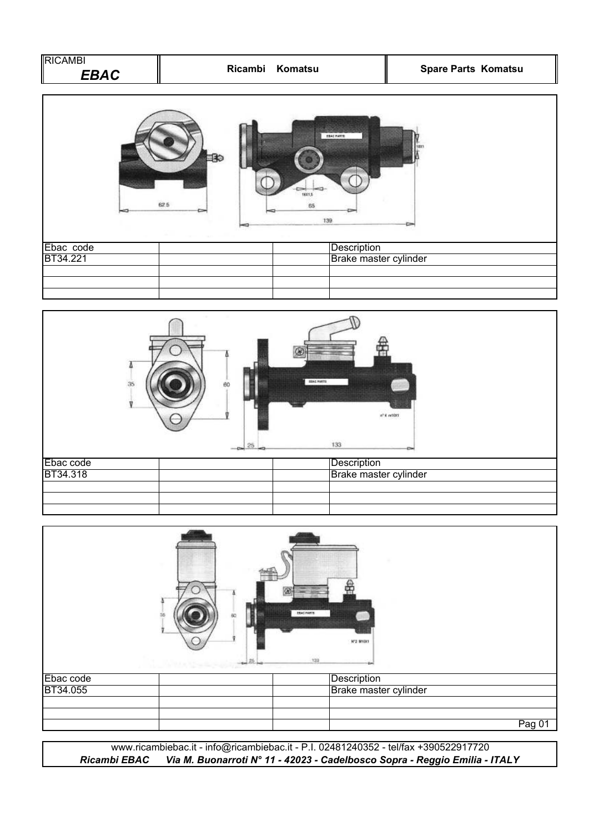| RICAMBI<br>E |  |
|--------------|--|
| ERAC         |  |





|           | <b>EBAC HARTS</b><br>Nº2 M10X1<br>133 |        |
|-----------|---------------------------------------|--------|
| Ebac code | Description                           |        |
| BT34.055  | Brake master cylinder                 |        |
|           |                                       |        |
|           |                                       | Pag 01 |

*Ricambi EBAC Via M. Buonarroti N° 11 - 42023 - Cadelbosco Sopra - Reggio Emilia - ITALY* www.ricambiebac.it - info@ricambiebac.it - P.I. 02481240352 - tel/fax +390522917720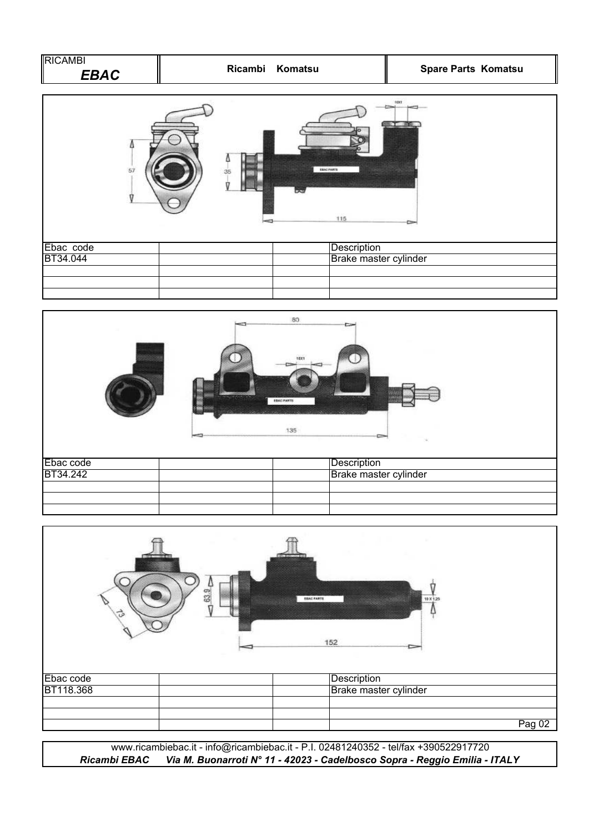| <b>IRICAMBI</b><br>EBAC | Komatsu<br><b>Ricambi</b> | <b>Spare Parts Komatsu</b> |
|-------------------------|---------------------------|----------------------------|
|                         |                           |                            |







www.ricambiebac.it - info@ricambiebac.it - P.I. 02481240352 - tel/fax +390522917720 *Ricambi EBAC Via M. Buonarroti N° 11 - 42023 - Cadelbosco Sopra - Reggio Emilia - ITALY*